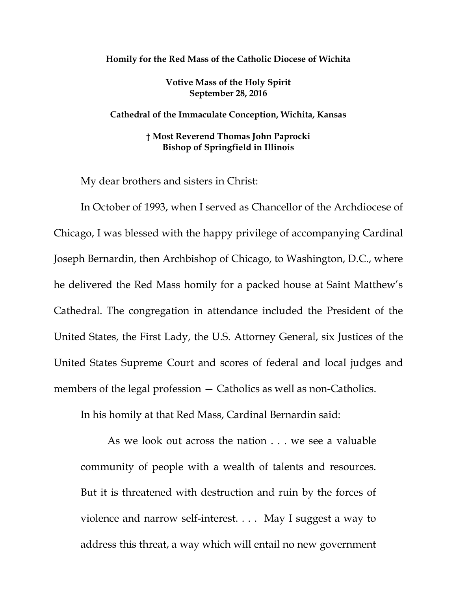## **Homily for the Red Mass of the Catholic Diocese of Wichita**

**Votive Mass of the Holy Spirit September 28, 2016**

**Cathedral of the Immaculate Conception, Wichita, Kansas**

**† Most Reverend Thomas John Paprocki Bishop of Springfield in Illinois**

My dear brothers and sisters in Christ:

In October of 1993, when I served as Chancellor of the Archdiocese of Chicago, I was blessed with the happy privilege of accompanying Cardinal Joseph Bernardin, then Archbishop of Chicago, to Washington, D.C., where he delivered the Red Mass homily for a packed house at Saint Matthew's Cathedral. The congregation in attendance included the President of the United States, the First Lady, the U.S. Attorney General, six Justices of the United States Supreme Court and scores of federal and local judges and members of the legal profession – Catholics as well as non-Catholics.

In his homily at that Red Mass, Cardinal Bernardin said:

As we look out across the nation . . . we see a valuable community of people with a wealth of talents and resources. But it is threatened with destruction and ruin by the forces of violence and narrow self-interest. . . . May I suggest a way to address this threat, a way which will entail no new government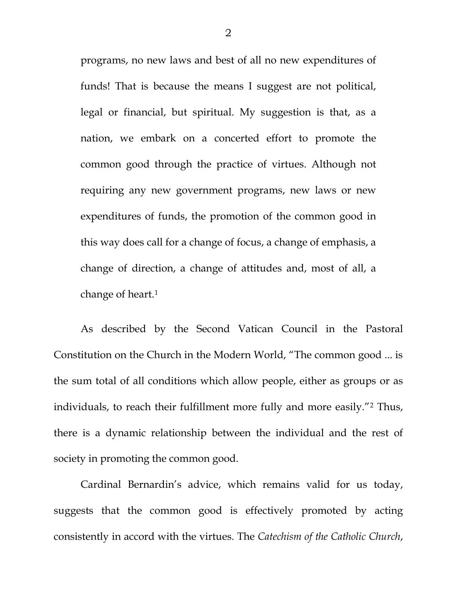programs, no new laws and best of all no new expenditures of funds! That is because the means I suggest are not political, legal or financial, but spiritual. My suggestion is that, as a nation, we embark on a concerted effort to promote the common good through the practice of virtues. Although not requiring any new government programs, new laws or new expenditures of funds, the promotion of the common good in this way does call for a change of focus, a change of emphasis, a change of direction, a change of attitudes and, most of all, a change of heart.<sup>[1](#page-10-0)</sup>

As described by the Second Vatican Council in the Pastoral Constitution on the Church in the Modern World, "The common good ... is the sum total of all conditions which allow people, either as groups or as individuals, to reach their fulfillment more fully and more easily."[2](#page-10-1) Thus, there is a dynamic relationship between the individual and the rest of society in promoting the common good.

Cardinal Bernardin's advice, which remains valid for us today, suggests that the common good is effectively promoted by acting consistently in accord with the virtues. The *Catechism of the Catholic Church*,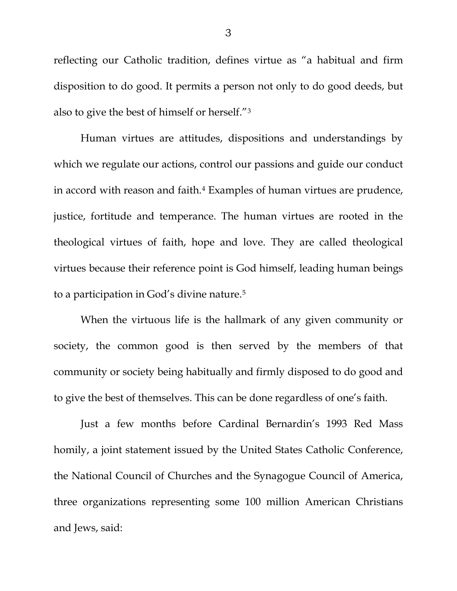reflecting our Catholic tradition, defines virtue as "a habitual and firm disposition to do good. It permits a person not only to do good deeds, but also to give the best of himself or herself."[3](#page-10-2)

Human virtues are attitudes, dispositions and understandings by which we regulate our actions, control our passions and guide our conduct in accord with reason and faith.[4](#page-10-3) Examples of human virtues are prudence, justice, fortitude and temperance. The human virtues are rooted in the theological virtues of faith, hope and love. They are called theological virtues because their reference point is God himself, leading human beings to a participation in God's divine nature.[5](#page-10-4)

When the virtuous life is the hallmark of any given community or society, the common good is then served by the members of that community or society being habitually and firmly disposed to do good and to give the best of themselves. This can be done regardless of one's faith.

Just a few months before Cardinal Bernardin's 1993 Red Mass homily, a joint statement issued by the United States Catholic Conference, the National Council of Churches and the Synagogue Council of America, three organizations representing some 100 million American Christians and Jews, said: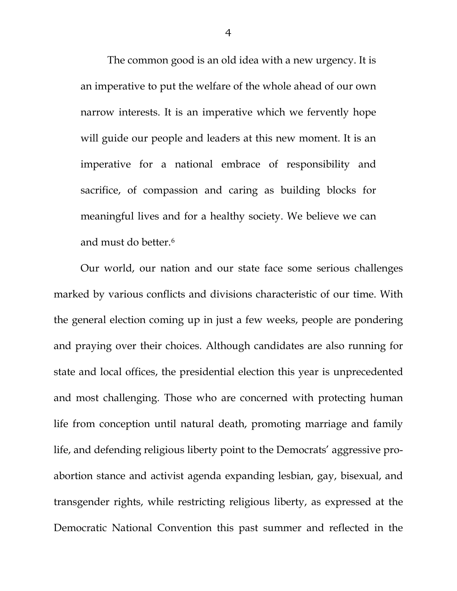The common good is an old idea with a new urgency. It is an imperative to put the welfare of the whole ahead of our own narrow interests. It is an imperative which we fervently hope will guide our people and leaders at this new moment. It is an imperative for a national embrace of responsibility and sacrifice, of compassion and caring as building blocks for meaningful lives and for a healthy society. We believe we can and must do better.<sup>[6](#page-10-5)</sup>

Our world, our nation and our state face some serious challenges marked by various conflicts and divisions characteristic of our time. With the general election coming up in just a few weeks, people are pondering and praying over their choices. Although candidates are also running for state and local offices, the presidential election this year is unprecedented and most challenging. Those who are concerned with protecting human life from conception until natural death, promoting marriage and family life, and defending religious liberty point to the Democrats' aggressive proabortion stance and activist agenda expanding lesbian, gay, bisexual, and transgender rights, while restricting religious liberty, as expressed at the Democratic National Convention this past summer and reflected in the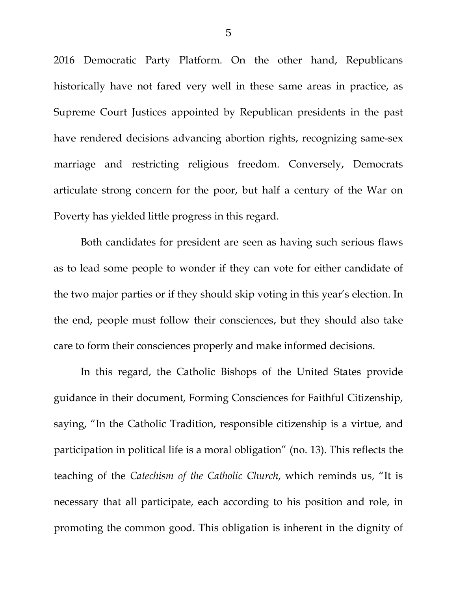2016 Democratic Party Platform. On the other hand, Republicans historically have not fared very well in these same areas in practice, as Supreme Court Justices appointed by Republican presidents in the past have rendered decisions advancing abortion rights, recognizing same-sex marriage and restricting religious freedom. Conversely, Democrats articulate strong concern for the poor, but half a century of the War on Poverty has yielded little progress in this regard.

Both candidates for president are seen as having such serious flaws as to lead some people to wonder if they can vote for either candidate of the two major parties or if they should skip voting in this year's election. In the end, people must follow their consciences, but they should also take care to form their consciences properly and make informed decisions.

In this regard, the Catholic Bishops of the United States provide guidance in their document, Forming Consciences for Faithful Citizenship, saying, "In the Catholic Tradition, responsible citizenship is a virtue, and participation in political life is a moral obligation" (no. 13). This reflects the teaching of the *Catechism of the Catholic Church*, which reminds us, "It is necessary that all participate, each according to his position and role, in promoting the common good. This obligation is inherent in the dignity of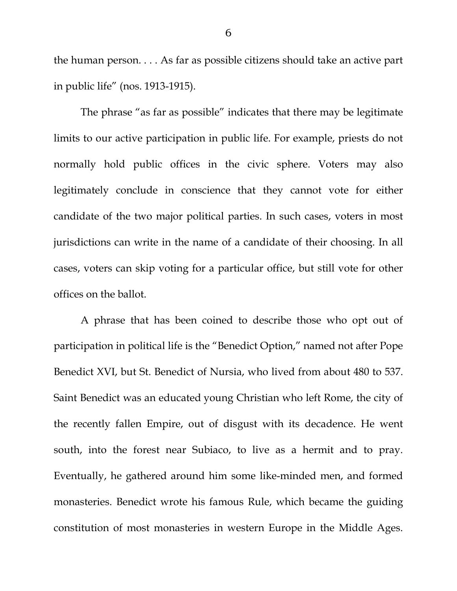the human person. . . . As far as possible citizens should take an active part in public life" (nos. 1913-1915).

The phrase "as far as possible" indicates that there may be legitimate limits to our active participation in public life. For example, priests do not normally hold public offices in the civic sphere. Voters may also legitimately conclude in conscience that they cannot vote for either candidate of the two major political parties. In such cases, voters in most jurisdictions can write in the name of a candidate of their choosing. In all cases, voters can skip voting for a particular office, but still vote for other offices on the ballot.

A phrase that has been coined to describe those who opt out of participation in political life is the "Benedict Option," named not after Pope Benedict XVI, but St. Benedict of Nursia, who lived from about 480 to 537. Saint Benedict was an educated young Christian who left Rome, the city of the recently fallen Empire, out of disgust with its decadence. He went south, into the forest near Subiaco, to live as a hermit and to pray. Eventually, he gathered around him some like-minded men, and formed monasteries. Benedict wrote his famous Rule, which became the guiding constitution of most monasteries in western Europe in the Middle Ages.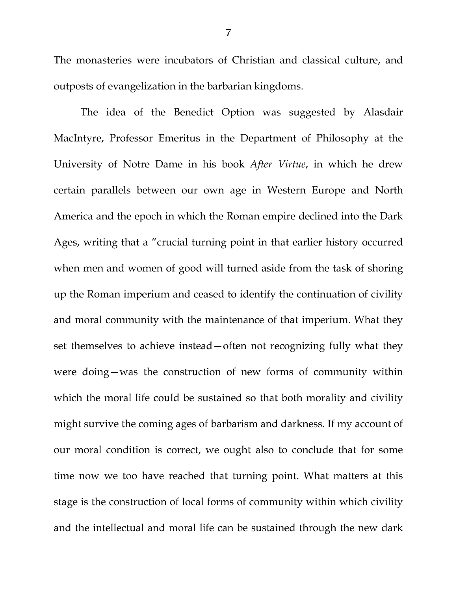The monasteries were incubators of Christian and classical culture, and outposts of evangelization in the barbarian kingdoms.

The idea of the Benedict Option was suggested by Alasdair MacIntyre, Professor Emeritus in the Department of Philosophy at the University of Notre Dame in his book *After Virtue*, in which he drew certain parallels between our own age in Western Europe and North America and the epoch in which the Roman empire declined into the Dark Ages, writing that a "crucial turning point in that earlier history occurred when men and women of good will turned aside from the task of shoring up the Roman imperium and ceased to identify the continuation of civility and moral community with the maintenance of that imperium. What they set themselves to achieve instead—often not recognizing fully what they were doing—was the construction of new forms of community within which the moral life could be sustained so that both morality and civility might survive the coming ages of barbarism and darkness. If my account of our moral condition is correct, we ought also to conclude that for some time now we too have reached that turning point. What matters at this stage is the construction of local forms of community within which civility and the intellectual and moral life can be sustained through the new dark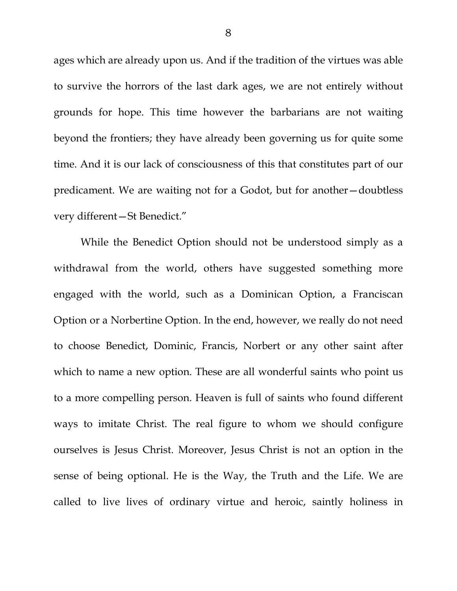ages which are already upon us. And if the tradition of the virtues was able to survive the horrors of the last dark ages, we are not entirely without grounds for hope. This time however the barbarians are not waiting beyond the frontiers; they have already been governing us for quite some time. And it is our lack of consciousness of this that constitutes part of our predicament. We are waiting not for a Godot, but for another—doubtless very different—St Benedict."

While the Benedict Option should not be understood simply as a withdrawal from the world, others have suggested something more engaged with the world, such as a Dominican Option, a Franciscan Option or a Norbertine Option. In the end, however, we really do not need to choose Benedict, Dominic, Francis, Norbert or any other saint after which to name a new option. These are all wonderful saints who point us to a more compelling person. Heaven is full of saints who found different ways to imitate Christ. The real figure to whom we should configure ourselves is Jesus Christ. Moreover, Jesus Christ is not an option in the sense of being optional. He is the Way, the Truth and the Life. We are called to live lives of ordinary virtue and heroic, saintly holiness in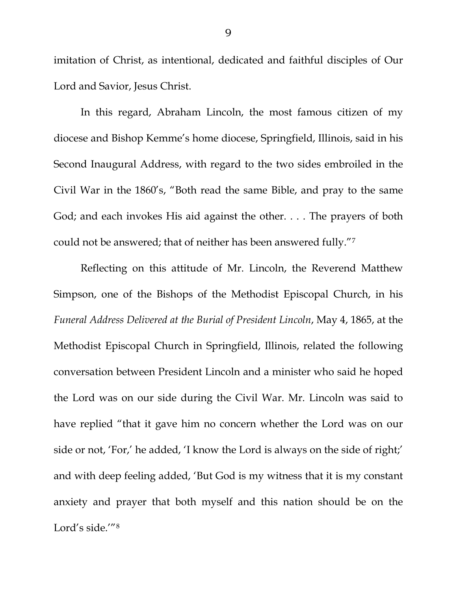imitation of Christ, as intentional, dedicated and faithful disciples of Our Lord and Savior, Jesus Christ.

In this regard, Abraham Lincoln, the most famous citizen of my diocese and Bishop Kemme's home diocese, Springfield, Illinois, said in his Second Inaugural Address, with regard to the two sides embroiled in the Civil War in the 1860's, "Both read the same Bible, and pray to the same God; and each invokes His aid against the other. . . . The prayers of both could not be answered; that of neither has been answered fully."[7](#page-10-6)

Reflecting on this attitude of Mr. Lincoln, the Reverend Matthew Simpson, one of the Bishops of the Methodist Episcopal Church, in his *Funeral Address Delivered at the Burial of President Lincoln*, May 4, 1865, at the Methodist Episcopal Church in Springfield, Illinois, related the following conversation between President Lincoln and a minister who said he hoped the Lord was on our side during the Civil War. Mr. Lincoln was said to have replied "that it gave him no concern whether the Lord was on our side or not, 'For,' he added, 'I know the Lord is always on the side of right;' and with deep feeling added, 'But God is my witness that it is my constant anxiety and prayer that both myself and this nation should be on the Lord's side.'"[8](#page-10-7)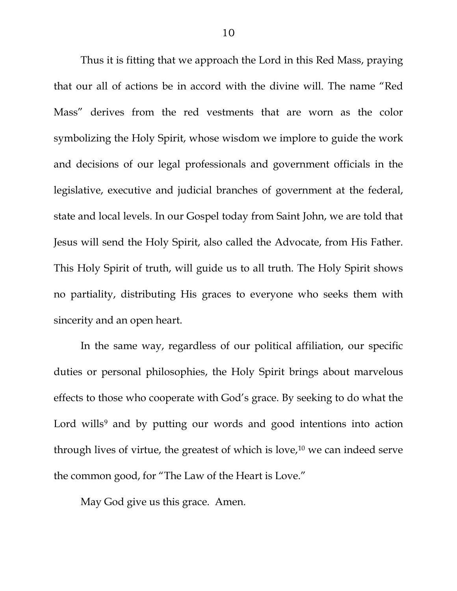Thus it is fitting that we approach the Lord in this Red Mass, praying that our all of actions be in accord with the divine will. The name "Red Mass" derives from the red vestments that are worn as the color symbolizing the Holy Spirit, whose wisdom we implore to guide the work and decisions of our legal professionals and government officials in the legislative, executive and judicial branches of government at the federal, state and local levels. In our Gospel today from Saint John, we are told that Jesus will send the Holy Spirit, also called the Advocate, from His Father. This Holy Spirit of truth, will guide us to all truth. The Holy Spirit shows no partiality, distributing His graces to everyone who seeks them with sincerity and an open heart.

In the same way, regardless of our political affiliation, our specific duties or personal philosophies, the Holy Spirit brings about marvelous effects to those who cooperate with God's grace. By seeking to do what the Lord wills<sup>[9](#page-10-8)</sup> and by putting our words and good intentions into action through lives of virtue, the greatest of which is love, $10$  we can indeed serve the common good, for "The Law of the Heart is Love."

May God give us this grace. Amen.